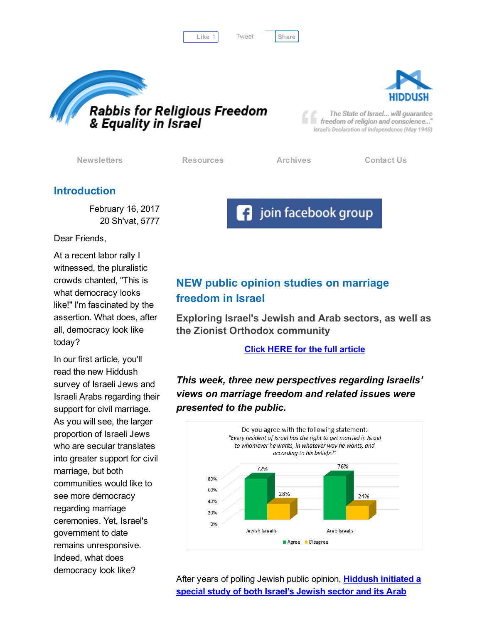Like 1 Tweet [Share](javascript:void(0);)

[Tweet](https://twitter.com/intent/tweet?original_referer=http%3A%2F%2Fhosted.verticalresponse.com%2F577764%2F3fd9556cae%2F1468726473%2F420fab8f2e%2F&ref_src=twsrc%5Etfw&text=Bulletin%3A%20What%20does%20(Jewish)%20democracy%20look%20like%3F&tw_p=tweetbutton&url=http%3A%2F%2Fhosted-p0.vresp.com%2F577764%2F3fd9556cae%2FARCHIVE%23.WLvu0siff-g.twitter)





The State of Israel... will guarantee freedom of religion and conscience..." Israel's Declaration of Independence (May 1948)

[Newsletters](http://cts.vresp.com/c/?FreedomofReligionfor/3fd9556cae/420fab8f2e/dfc56f7f7a) [Resources](http://cts.vresp.com/c/?FreedomofReligionfor/3fd9556cae/420fab8f2e/d4b71c5637) [Archives](http://cts.vresp.com/c/?FreedomofReligionfor/3fd9556cae/420fab8f2e/3acb314ef2) [Contact](http://cts.vresp.com/c/?FreedomofReligionfor/3fd9556cae/420fab8f2e/4542b55eaf) Us

**F** join facebook group

## Introduction

February 16, 2017 20 Sh'vat, 5777

Dear Friends,

At a recent labor rally I witnessed, the pluralistic crowds chanted, "This is what democracy looks like!" I'm fascinated by the assertion. What does, after all, democracy look like today?

In our first article, you'll read the new Hiddush survey of Israeli Jews and Israeli Arabs regarding their support for civil marriage. As you will see, the larger proportion of Israeli Jews who are secular translates into greater support for civil marriage, but both communities would like to see more democracy regarding marriage ceremonies. Yet, Israel's government to date remains unresponsive. Indeed, what does democracy look like?

# NEW public opinion studies on marriage freedom in Israel

Exploring Israel's Jewish and Arab sectors, as well as the Zionist Orthodox community

Click HERE for the full [article](http://cts.vresp.com/c/?FreedomofReligionfor/3fd9556cae/420fab8f2e/de7cf3e59d)

This week, three new perspectives regarding Israelis' views on marriage freedom and related issues were presented to the public.



After years of polling Jewish public opinion, **[Hiddush](http://cts.vresp.com/c/?FreedomofReligionfor/3fd9556cae/420fab8f2e/46df5bfe0c) initiated a** special study of both Israel's Jewish sector and its Arab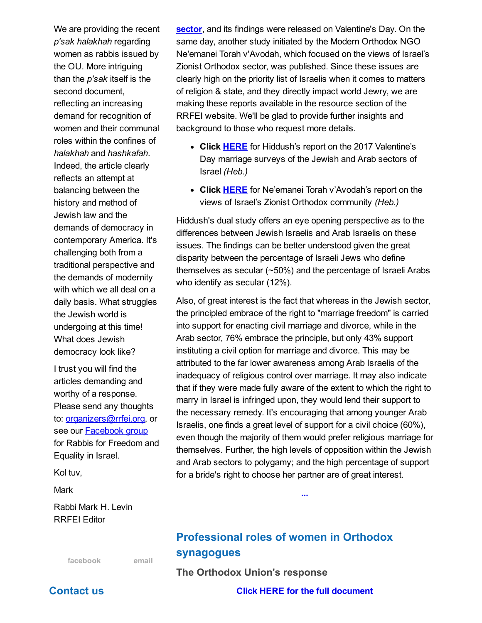We are providing the recent p'sak halakhah regarding women as rabbis issued by the OU. More intriguing than the  $p$ 'sak itself is the second document, reflecting an increasing demand for recognition of women and their communal roles within the confines of halakhah and hashkafah. Indeed, the article clearly reflects an attempt at balancing between the history and method of Jewish law and the demands of democracy in contemporary America. It's challenging both from a traditional perspective and the demands of modernity with which we all deal on a daily basis. What struggles the Jewish world is undergoing at this time! What does Jewish democracy look like?

I trust you will find the articles demanding and worthy of a response. Please send any thoughts to: **[organizers@rrfei.org](mailto:organizers@rrfei.org)**, or see our **[Facebook](http://cts.vresp.com/c/?FreedomofReligionfor/3fd9556cae/420fab8f2e/6aa373fdc2)** group for Rabbis for Freedom and Equality in Israel.

Kol tuv,

Mark

Rabbi Mark H. Levin RRFEI Editor

[facebook](http://cts.vresp.com/c/?FreedomofReligionfor/3fd9556cae/420fab8f2e/600c044ed8) [email](mailto:organizers@rrfei.org)

## sector, and its findings were released on [Valentine's](http://cts.vresp.com/c/?FreedomofReligionfor/3fd9556cae/420fab8f2e/46df5bfe0c) Day. On the same day, another study initiated by the Modern Orthodox NGO Ne'emanei Torah v'Avodah, which focused on the views of Israel's Zionist Orthodox sector, was published. Since these issues are clearly high on the priority list of Israelis when it comes to matters of religion & state, and they directly impact world Jewry, we are making these reports available in the resource section of the RRFEI website. We'll be glad to provide further insights and background to those who request more details.

- Click **[HERE](http://cts.vresp.com/c/?FreedomofReligionfor/3fd9556cae/420fab8f2e/06235056e1)** for Hiddush's report on the 2017 Valentine's Day marriage surveys of the Jewish and Arab sectors of Israel (Heb.)
- Click **[HERE](http://cts.vresp.com/c/?FreedomofReligionfor/3fd9556cae/420fab8f2e/0e9eb33274)** for Ne'emanei Torah v'Avodah's report on the views of Israel's Zionist Orthodox community (Heb.)

Hiddush's dual study offers an eye opening perspective as to the differences between Jewish Israelis and Arab Israelis on these issues. The findings can be better understood given the great disparity between the percentage of Israeli Jews who define themselves as secular (~50%) and the percentage of Israeli Arabs who identify as secular (12%).

Also, of great interest is the fact that whereas in the Jewish sector, the principled embrace of the right to "marriage freedom" is carried into support for enacting civil marriage and divorce, while in the Arab sector, 76% embrace the principle, but only 43% support instituting a civil option for marriage and divorce. This may be attributed to the far lower awareness among Arab Israelis of the inadequacy of religious control over marriage. It may also indicate that if they were made fully aware of the extent to which the right to marry in Israel is infringed upon, they would lend their support to the necessary remedy. It's encouraging that among younger Arab Israelis, one finds a great level of support for a civil choice (60%), even though the majority of them would prefer religious marriage for themselves. Further, the high levels of opposition within the Jewish and Arab sectors to polygamy; and the high percentage of support for a bride's right to choose her partner are of great interest.

# Professional roles of women in Orthodox synagogues

The Orthodox Union's response

Click HERE for the full [document](http://rrfei.org/wp-content/uploads/2017/02/OU-Statement.pdf)

[...](http://cts.vresp.com/c/?FreedomofReligionfor/3fd9556cae/420fab8f2e/57d8657282)

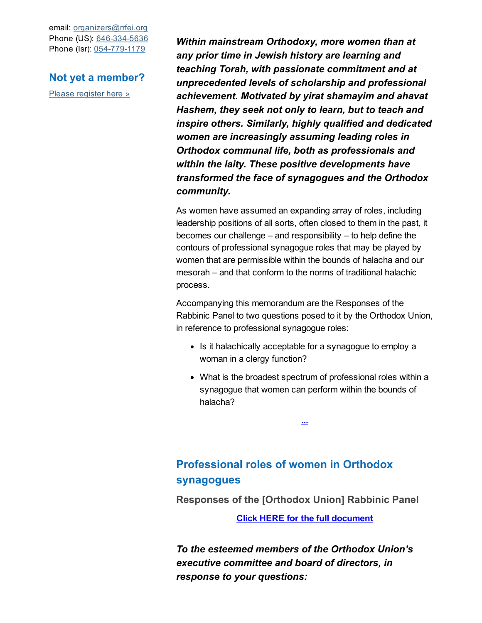email: [organizers@rrfei.org](mailto:organizers@rrfei.org) Phone (US): 646-334-5636 Phone (Isr): 054-779-1179

## Not yet a member?

Please [register](http://cts.vresp.com/c/?FreedomofReligionfor/3fd9556cae/420fab8f2e/487dfd81da) here »

Within mainstream Orthodoxy, more women than at any prior time in Jewish history are learning and teaching Torah, with passionate commitment and at unprecedented levels of scholarship and professional achievement. Motivated by yirat shamayim and ahavat Hashem, they seek not only to learn, but to teach and inspire others. Similarly, highly qualified and dedicated women are increasingly assuming leading roles in Orthodox communal life, both as professionals and within the laity. These positive developments have transformed the face of synagogues and the Orthodox community.

As women have assumed an expanding array of roles, including leadership positions of all sorts, often closed to them in the past, it becomes our challenge – and responsibility – to help define the contours of professional synagogue roles that may be played by women that are permissible within the bounds of halacha and our mesorah – and that conform to the norms of traditional halachic process.

Accompanying this memorandum are the Responses of the Rabbinic Panel to two questions posed to it by the Orthodox Union, in reference to professional synagogue roles:

- Is it halachically acceptable for a synagogue to employ a woman in a clergy function?
- What is the broadest spectrum of professional roles within a synagogue that women can perform within the bounds of halacha?

[...](http://rrfei.org/wp-content/uploads/2017/02/OU-Statement.pdf)

# Professional roles of women in Orthodox synagogues

Responses of the [Orthodox Union] Rabbinic Panel

Click HERE for the full [document](http://rrfei.org/wp-content/uploads/2017/02/Responses-of-OU-Rabbinic-Panel.pdf)

To the esteemed members of the Orthodox Union's executive committee and board of directors, in response to your questions: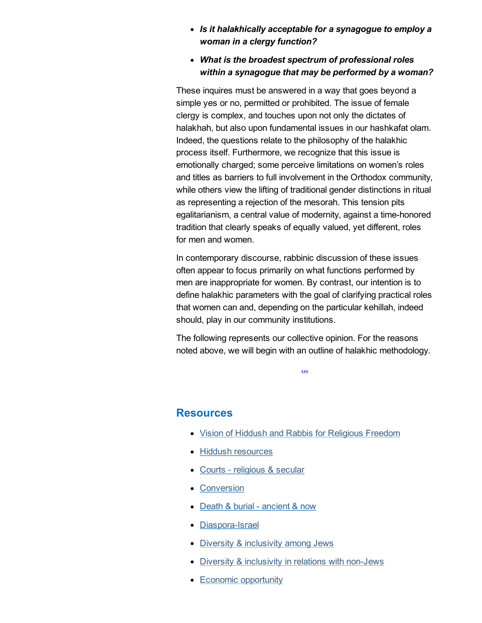### • Is it halakhically acceptable for a synagogue to employ a woman in a clergy function?

What is the broadest spectrum of professional roles within a synagogue that may be performed by a woman?

These inquires must be answered in a way that goes beyond a simple yes or no, permitted or prohibited. The issue of female clergy is complex, and touches upon not only the dictates of halakhah, but also upon fundamental issues in our hashkafat olam. Indeed, the questions relate to the philosophy of the halakhic process itself. Furthermore, we recognize that this issue is emotionally charged; some perceive limitations on women's roles and titles as barriers to full involvement in the Orthodox community, while others view the lifting of traditional gender distinctions in ritual as representing a rejection of the mesorah. This tension pits egalitarianism, a central value of modernity, against a time-honored tradition that clearly speaks of equally valued, yet different, roles for men and women.

In contemporary discourse, rabbinic discussion of these issues often appear to focus primarily on what functions performed by men are inappropriate for women. By contrast, our intention is to define halakhic parameters with the goal of clarifying practical roles that women can and, depending on the particular kehillah, indeed should, play in our community institutions.

The following represents our collective opinion. For the reasons noted above, we will begin with an outline of halakhic methodology.

[...](http://rrfei.org/wp-content/uploads/2017/02/Responses-of-OU-Rabbinic-Panel.pdf)

## Resources

- Vision of Hiddush and Rabbis for [Religious](http://cts.vresp.com/c/?FreedomofReligionfor/3fd9556cae/420fab8f2e/589eaa5063) Freedom
- Hiddush [resources](http://cts.vresp.com/c/?FreedomofReligionfor/3fd9556cae/420fab8f2e/f8a4a7f079)
- Courts [religious](http://cts.vresp.com/c/?FreedomofReligionfor/3fd9556cae/420fab8f2e/860e29002d) & secular
- [Conversion](http://cts.vresp.com/c/?FreedomofReligionfor/3fd9556cae/420fab8f2e/0622038b09)
- Death & burial [ancient](http://cts.vresp.com/c/?FreedomofReligionfor/3fd9556cae/420fab8f2e/e4aeb3e175) & now
- Diaspora-Israel
- Diversity & [inclusivity](http://cts.vresp.com/c/?FreedomofReligionfor/3fd9556cae/420fab8f2e/2647a567eb) among Jews
- Diversity & [inclusivity](http://cts.vresp.com/c/?FreedomofReligionfor/3fd9556cae/420fab8f2e/dee3074e68) in relations with non-Jews
- Economic [opportunity](http://cts.vresp.com/c/?FreedomofReligionfor/3fd9556cae/420fab8f2e/d7b56f1c52)